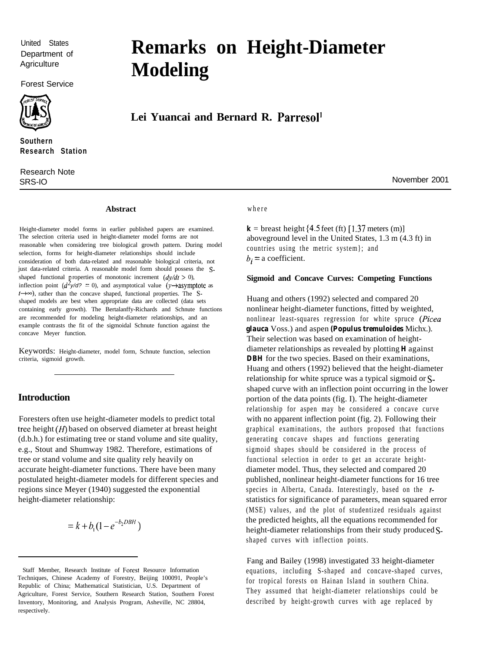United States Department of **Agriculture** 

Forest Service



**Southern Research Station**

Research Note SRS-IO November 2001

# **Remarks on Height-Diameter Modeling**

## **Lei Yuancai and Bernard R. Parresol'**

#### **Abstract** where

Height-diameter model forms in earlier published papers are examined. The selection criteria used in height-diameter model forms are not reasonable when considering tree biological growth pattern. During model selection, forms for height-diameter relationships should include consideration of both data-related and reasonable biological criteria, not just data-related criteria. A reasonable model form should possess the Sshaped functional properties of monotonic increment  $(dy/dt > 0)$ , inflection point  $(d^2y/d^2 = 0)$ , and asymptotical value  $(y \rightarrow$ asymptote as  $t\rightarrow\infty$ ), rather than the concave shaped, functional properties. The Sshaped models are best when appropriate data are collected (data sets containing early growth). The Bertalanffy-Richards and Schnute functions are recommended for modeling height-diameter relationships, and an example contrasts the fit of the sigmoidal Schnute function against the concave Meyer function.

Keywords: Height-diameter, model form, Schnute function, selection criteria, sigmoid growth.

#### **Introduction**

Foresters often use height-diameter models to predict total tree height  $(H)$  based on observed diameter at breast height (d.b.h.) for estimating tree or stand volume and site quality, e.g., Stout and Shumway 1982. Therefore, estimations of tree or stand volume and site quality rely heavily on accurate height-diameter functions. There have been many postulated height-diameter models for different species and regions since Meyer (1940) suggested the exponential height-diameter relationship:

$$
= k + b_1 (1 - e^{-b_2 DBH})
$$

 $\mathbf{k}$  = breast height {4.5 feet (ft) [1.37 meters (m)] aboveground level in the United States, 1.3 m (4.3 ft) in countries using the metric system}; and  $b_i$  = a coefficient.

#### **Sigmoid and Concave Curves: Competing Functions**

Huang and others (1992) selected and compared 20 nonlinear height-diameter functions, fitted by weighted, nonlinear least-squares regression for white spruce *(Picea glauca* Voss.) and aspen *(Populus tremuloides* Michx.). Their selection was based on examination of heightdiameter relationships as revealed by plotting *H* against *DBH* for the two species. Based on their examinations, Huang and others (1992) believed that the height-diameter relationship for white spruce was a typical sigmoid or Sshaped curve with an inflection point occurring in the lower portion of the data points (fig. I). The height-diameter relationship for aspen may be considered a concave curve with no apparent inflection point (fig. 2). Following their graphical examinations, the authors proposed that functions generating concave shapes and functions generating sigmoid shapes should be considered in the process of functional selection in order to get an accurate heightdiameter model. Thus, they selected and compared 20 published, nonlinear height-diameter functions for 16 tree species in Alberta, Canada. Interestingly, based on the tstatistics for significance of parameters, mean squared error (MSE) values, and the plot of studentized residuals against the predicted heights, all the equations recommended for height-diameter relationships from their study produced Sshaped curves with inflection points.

Fang and Bailey (1998) investigated 33 height-diameter equations, including S-shaped and concave-shaped curves, for tropical forests on Hainan Island in southern China. They assumed that height-diameter relationships could be described by height-growth curves with age replaced by

Staff Member, Research Institute of Forest Resource Information Techniques, Chinese Academy of Forestry, Beijing 100091, People's Republic of China; Mathematical Statistician, U.S. Department of Agriculture, Forest Service, Southern Research Station, Southern Forest Inventory, Monitoring, and Analysis Program, Asheville, NC 28804, respectively.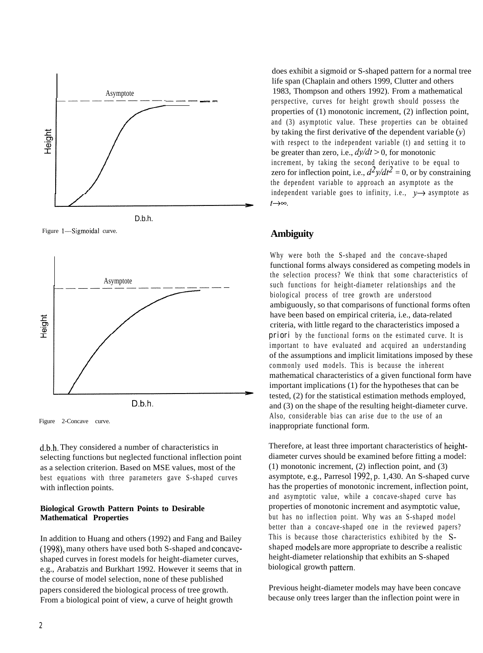

Figure 1-Sigmoidal curve.



Figure 2-Concave curve.

d.b.h. They considered a number of characteristics in selecting functions but neglected functional inflection point as a selection criterion. Based on MSE values, most of the best equations with three parameters gave S-shaped curves with inflection points.

#### **Biological Growth Pattern Points to Desirable Mathematical Properties**

In addition to Huang and others (1992) and Fang and Bailey (1998), many others have used both S-shaped and concaveshaped curves in forest models for height-diameter curves, e.g., Arabatzis and Burkhart 1992. However it seems that in the course of model selection, none of these published papers considered the biological process of tree growth. From a biological point of view, a curve of height growth

does exhibit a sigmoid or S-shaped pattern for a normal tree life span (Chaplain and others 1999, Clutter and others 1983, Thompson and others 1992). From a mathematical perspective, curves for height growth should possess the properties of (1) monotonic increment, (2) inflection point, and (3) asymptotic value. These properties can be obtained by taking the first derivative of the dependent variable  $(y)$ with respect to the independent variable (t) and setting it to be greater than zero, i.e.,  $dy/dt > 0$ , for monotonic increment, by taking the second derivative to be equal to zero for inflection point, i.e.,  $d^2y/dt^2 = 0$ , or by constraining the dependent variable to approach an asymptote as the independent variable goes to infinity, i.e.,  $y \rightarrow$  asymptote as  $t\rightarrow\infty$ .

### **Ambiguity**

Why were both the S-shaped and the concave-shaped functional forms always considered as competing models in the selection process? We think that some characteristics of such functions for height-diameter relationships and the biological process of tree growth are understood ambiguously, so that comparisons of functional forms often have been based on empirical criteria, i.e., data-related criteria, with little regard to the characteristics imposed a *priori* by the functional forms on the estimated curve. It is important to have evaluated and acquired an understanding of the assumptions and implicit limitations imposed by these commonly used models. This is because the inherent mathematical characteristics of a given functional form have important implications (1) for the hypotheses that can be tested, (2) for the statistical estimation methods employed, and (3) on the shape of the resulting height-diameter curve. Also, considerable bias can arise due to the use of an inappropriate functional form.

Therefore, at least three important characteristics of heightdiameter curves should be examined before fitting a model: (1) monotonic increment, (2) inflection point, and (3) asymptote, e.g., Parresol 1992, p. 1,430. An S-shaped curve has the properties of monotonic increment, inflection point, and asymptotic value, while a concave-shaped curve has properties of monotonic increment and asymptotic value, but has no inflection point. Why was an S-shaped model better than a concave-shaped one in the reviewed papers? This is because those characteristics exhibited by the Sshaped models are more appropriate to describe a realistic height-diameter relationship that exhibits an S-shaped biological growth pattern.

Previous height-diameter models may have been concave because only trees larger than the inflection point were in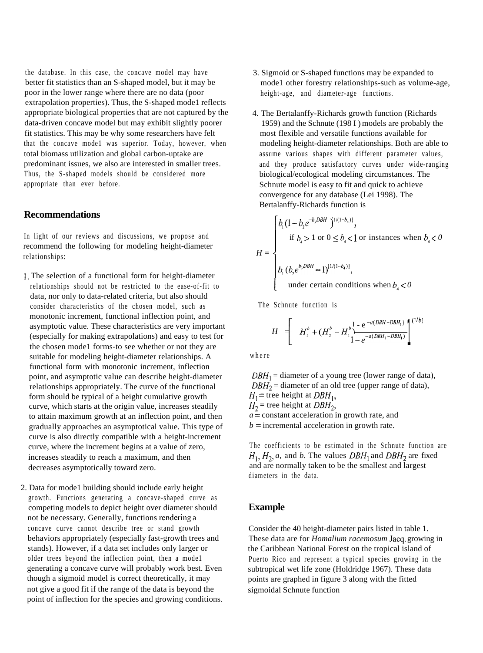the database. In this case, the concave model may have better fit statistics than an S-shaped model, but it may be poor in the lower range where there are no data (poor extrapolation properties). Thus, the S-shaped mode1 reflects appropriate biological properties that are not captured by the data-driven concave model but may exhibit slightly poorer fit statistics. This may be why some researchers have felt that the concave mode1 was superior. Today, however, when total biomass utilization and global carbon-uptake are predominant issues, we also are interested in smaller trees. Thus, the S-shaped models should be considered more appropriate than ever before.

#### **Recommendations**

In light of our reviews and discussions, we propose and recommend the following for modeling height-diameter relationships:

- 1. The selection of a functional form for height-diameter relationships should not be restricted to the ease-of-fit to data, nor only to data-related criteria, but also should consider characteristics of the chosen model, such as monotonic increment, functional inflection point, and asymptotic value. These characteristics are very important (especially for making extrapolations) and easy to test for the chosen mode1 forms-to see whether or not they are suitable for modeling height-diameter relationships. A functional form with monotonic increment, inflection point, and asymptotic value can describe height-diameter relationships appropriately. The curve of the functional form should be typical of a height cumulative growth curve, which starts at the origin value, increases steadily to attain maximum growth at an inflection point, and then gradually approaches an asymptotical value. This type of curve is also directly compatible with a height-increment curve, where the increment begins at a value of zero, increases steadily to reach a maximum, and then decreases asymptotically toward zero.
- 2. Data for mode1 building should include early height growth. Functions generating a concave-shaped curve as competing models to depict height over diameter should not be necessary. Generally, functions rendering a concave curve cannot describe tree or stand growth behaviors appropriately (especially fast-growth trees and stands). However, if a data set includes only larger or older trees beyond the inflection point, then a mode1 generating a concave curve will probably work best. Even though a sigmoid model is correct theoretically, it may not give a good fit if the range of the data is beyond the point of inflection for the species and growing conditions.
- 3. Sigmoid or S-shaped functions may be expanded to mode1 other forestry relationships-such as volume-age, height-age, and diameter-age functions.
- 4. The Bertalanffy-Richards growth function (Richards 1959) and the Schnute (198 I ) models are probably the most flexible and versatile functions available for modeling height-diameter relationships. Both are able to assume various shapes with different parameter values, and they produce satisfactory curves under wide-ranging biological/ecological modeling circumstances. The Schnute model is easy to fit and quick to achieve convergence for any database (Lei 1998). The Bertalanffy-Richards function is

$$
H = \begin{cases} b_1(1 - b_2 e^{-b_3 DBH} \int^{1/(1 - b_4)]}, \\ \text{if } b_4 > 1 \text{ or } 0 \le b_4 < 1 \text{ or instances when } b_4 < 0 \end{cases}
$$
  

$$
b_1 (b_2 e^{b_3 DBH} - 1)^{[1/(1 - b_4)]}, \\ b_2 (b_2 e^{b_3 DBH} - 1)^{[1/(1 - b_4)]}, \\ \text{under certain conditions when } b_4 < 0
$$

The Schnute function is

$$
H = \left[ H_1^b + (H_2^b - H_1^b) \frac{1 - e^{-a(DBH - DBH_1)}}{1 - e^{-a(DBH_2 - DBH_1)}} \right]^{(1/b)}
$$

where

 $DBH_1$  = diameter of a young tree (lower range of data),  $DBH_2$  = diameter of an old tree (upper range of data),  $H_1$  = tree height at *DBH*<sub>1</sub>,  $H_2$  = tree height at *DBH*<sub>2</sub>, *a* = constant acceleration in growth rate, and  $b =$  incremental acceleration in growth rate.

The coefficients to be estimated in the Schnute function are  $H_1$ ,  $H_2$ , *a*, and *b*. The values  $DBH_1$  and  $DBH_2$  are fixed and are normally taken to be the smallest and largest diameters in the data.

#### **Example**

Consider the 40 height-diameter pairs listed in table 1. These data are for *Homalium racemosum* Jacq. growing in the Caribbean National Forest on the tropical island of Puerto Rico and represent a typical species growing in the subtropical wet life zone (Holdridge 1967). These data points are graphed in figure 3 along with the fitted sigmoidal Schnute function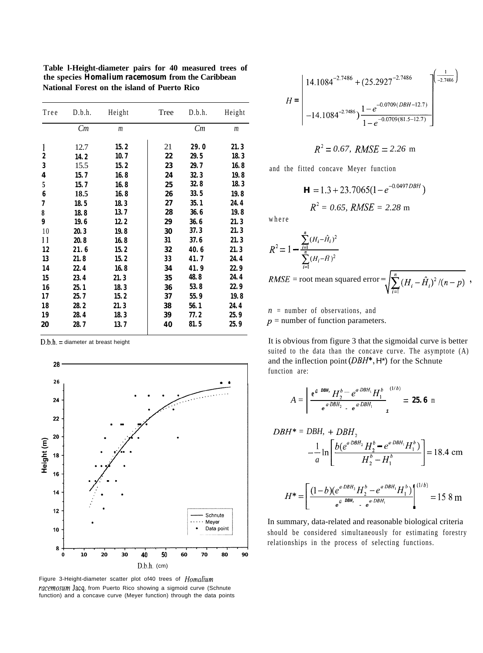| Tree | D.b.h. | Height         | Tree | D.b.h. | Height         |
|------|--------|----------------|------|--------|----------------|
|      | Cm     | $\mathfrak{m}$ |      | Cm     | $\mathfrak{m}$ |
| 1    | 12.7   | 15.2           | 21   | 29.0   | 21.3           |
| 2    | 14.2   | 10.7           | 22   | 29.5   | 18.3           |
| 3    | 15.5   | 15.2           | 23   | 29.7   | 16.8           |
| 4    | 15.7   | 16.8           | 24   | 32.3   | 19.8           |
| 5    | 15.7   | 16.8           | 25   | 32.8   | 18.3           |
| 6    | 18.5   | 16.8           | 26   | 33.5   | 19.8           |
| 7    | 18.5   | 18.3           | 27   | 35.1   | 24.4           |
| 8    | 18.8   | 13.7           | 28   | 36.6   | 19.8           |
| 9    | 19.6   | 12.2           | 29   | 36.6   | 21.3           |
| 10   | 20.3   | 19.8           | 30   | 37.3   | 21.3           |
| 11   | 20.8   | 16.8           | 31   | 37.6   | 21.3           |
| 12   | 21.6   | 15.2           | 32   | 40.6   | 21.3           |
| 13   | 21.8   | 15.2           | 33   | 41.7   | 24.4           |
| 14   | 22.4   | 16.8           | 34   | 41.9   | 22.9           |
| 15   | 23.4   | 21.3           | 35   | 48.8   | 24.4           |
| 16   | 25.1   | 18.3           | 36   | 53.8   | 22.9           |
| 17   | 25.7   | 15.2           | 37   | 55.9   | 19.8           |
| 18   | 28.2   | 21.3           | 38   | 56.1   | 24.4           |
| 19   | 28.4   | 18.3           | 39   | 77.2   | 25.9           |
| 20   | 28.7   | 13.7           | 40   | 81.5   | 25.9           |

**Table l-Height-diameter pairs for 40 measured trees of the species** *Homalium racemosum* **from the Caribbean National Forest on the island of Puerto Rico**

 $D.b.h. =$  diameter at breast height



Figure 3-Height-diameter scatter plot of40 trees of Homalium racemosum Jacq. from Puerto Rico showing a sigmoid curve (Schnute function) and a concave curve (Meyer function) through the data points

$$
H = \begin{bmatrix} 14.1084^{-2.7486} + (25.2927^{-2.7486}) & \frac{1}{-2.7486} \\ 14.1084^{-2.7486} & \frac{1}{1 - e^{-0.0709(BH - 12.7)}} \\ -14.1084^{-2.7486} & \frac{1}{1 - e^{-0.0709(81.5 - 12.7)}} \end{bmatrix}
$$

$$
R^2 = 0.67
$$
,  $RMSE = 2.26$  m

and the fitted concave Meyer function

$$
\mathbf{H} = 1.3 + 23.7065(1 - e^{-0.0497DBH})
$$

$$
R^2 = 0.65, RMSE = 2.28 \text{ m}
$$

where

 $\overline{u}$ 

$$
R^{2} = 1 - \frac{\sum_{i=1}^{n} (H_{i} - \hat{H}_{i})^{2}}{\sum_{i=1}^{n} (H_{i} - \bar{H})^{2}}
$$
  
RMSE = root mean squared error =  $\sqrt{\sum_{i=1}^{n} (H_{i} - \hat{H}_{i})^{2}/(n-p)}$ ,

*n* = number of observations, and

 $p =$  number of function parameters.

It is obvious from figure 3 that the sigmoidal curve is better suited to the data than the concave curve. The asymptote (A) and the inflection point  $(DBH^*, H^*)$  for the Schnute function are:

$$
A = \frac{e^{a DBH} H_2^{b} - e^{a DBH_1} H_1^{b}}{e^{a DBH_2} - e^{a DBH_1}} = 25.6 \text{ m}
$$

$$
DBH^* = DBH, + DBH_2
$$
  

$$
-\frac{1}{a} \ln \left[ \frac{b(e^{a DBH_2} H_2^b - e^{a DBH_1} H_1^b)}{H_2^b - H_1^b} \right] = 18.4 \text{ cm}
$$

$$
H^* = \left[ \frac{(1-b)(e^{a'DBH_2}H_2^b - e^{a'DBH_1}H_1^b)}{e^{a'DBH_1} - e^{a'DBH_1}} \right]^{(1/b)} = 15.8 \text{ m}
$$

ولأواد

In summary, data-related and reasonable biological criteria should be considered simultaneously for estimating forestry relationships in the process of selecting functions.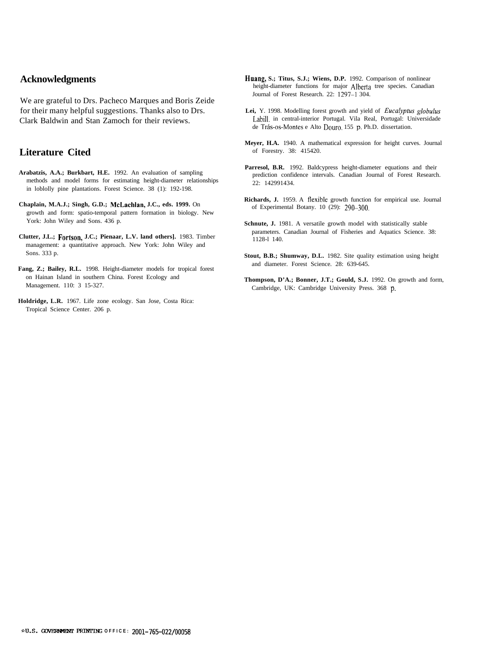#### **Acknowledgments**

We are grateful to Drs. Pacheco Marques and Boris Zeide for their many helpful suggestions. Thanks also to Drs. Clark Baldwin and Stan Zamoch for their reviews.

#### **Literature Cited**

- **Arabatzis, A.A.; Burkbart, H.E.** 1992. An evaluation of sampling methods and model forms for estimating height-diameter relationships in loblolly pine plantations. Forest Science. 38 (1): 192-198.
- **Chaplain, M.A.J.; Singh, G.D.; McLaehlan, J.C., eds. 1999.** On growth and form: spatio-temporal pattern formation in biology. New York: John Wiley and Sons. 436 p.
- **Clutter, J.L.; Fortson, J.C.; Pienaar, L.V. land others].** 1983. Timber management: a quantitative approach. New York: John Wiley and Sons. 333 p.
- **Fang, Z.; Bailey, R.L.** 1998. Height-diameter models for tropical forest on Hainan Island in southern China. Forest Ecology and Management. 110: 3 15-327.
- **Holdridge, L.R.** 1967. Life zone ecology. San Jose, Costa Rica: Tropical Science Center. 206 p.
- **Huang, S.; Titus, S.J.; Wiens, D.P.** 1992. Comparison of nonlinear height-diameter functions for major Alberta tree species. Canadian Journal of Forest Research. 22: 1297--l 304.
- **Lei,** Y. 1998. Modelling forest growth and yield of *Euculyptus globulus* Labill. in central-interior Portugal. Vila Real, Portugal: Universidade de Trás-os-Montes e Alto Douro. 155 p. Ph.D. dissertation.
- **Meyer, H.A.** 1940. A mathematical expression for height curves. Journal of Forestry. 38: 415420.
- Parresol, B.R. 1992. Baldcypress height-diameter equations and their prediction confidence intervals. Canadian Journal of Forest Research. 22: 142991434.
- **Richards, J.** 1959. A flexible growth function for empirical use. Journal of Experimental Botany. 10 (29): 290-300.
- Schnute, J. 1981. A versatile growth model with statistically stable parameters. Canadian Journal of Fisheries and Aquatics Science. 38: 1128-l 140.
- **Stout, B.B.; Shumway, D.L.** 1982. Site quality estimation using height and diameter. Forest Science. 28: 639-645.
- **Thompson, D'A.; Bonner, J.T.; Gould, S.J.** 1992. On growth and form, Cambridge, UK: Cambridge University Press. 368 p.